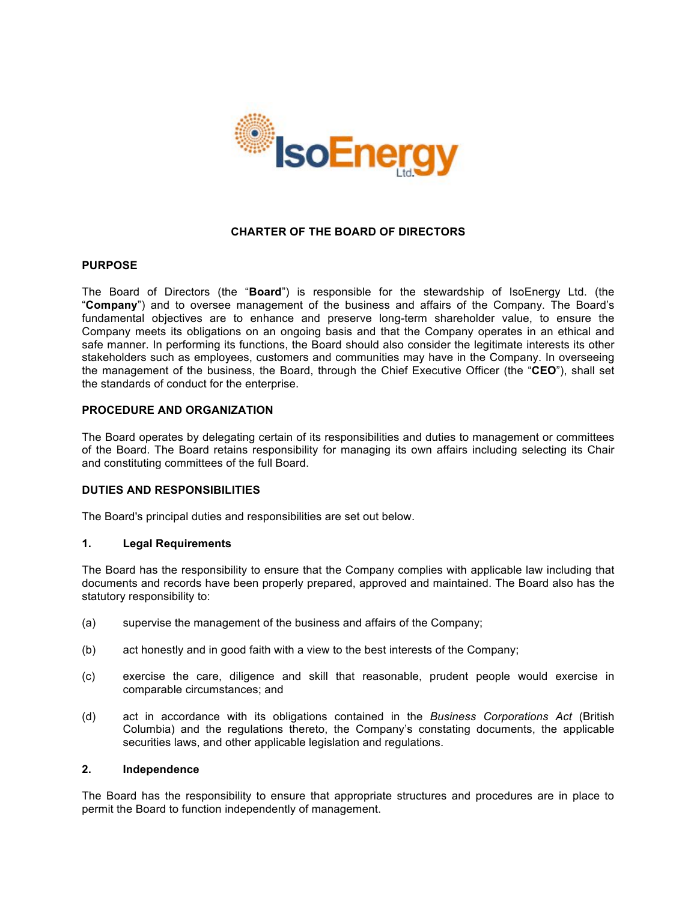

# **CHARTER OF THE BOARD OF DIRECTORS**

### **PURPOSE**

The Board of Directors (the "**Board**") is responsible for the stewardship of IsoEnergy Ltd. (the "**Company**") and to oversee management of the business and affairs of the Company. The Board's fundamental objectives are to enhance and preserve long-term shareholder value, to ensure the Company meets its obligations on an ongoing basis and that the Company operates in an ethical and safe manner. In performing its functions, the Board should also consider the legitimate interests its other stakeholders such as employees, customers and communities may have in the Company. In overseeing the management of the business, the Board, through the Chief Executive Officer (the "**CEO**"), shall set the standards of conduct for the enterprise.

# **PROCEDURE AND ORGANIZATION**

The Board operates by delegating certain of its responsibilities and duties to management or committees of the Board. The Board retains responsibility for managing its own affairs including selecting its Chair and constituting committees of the full Board.

#### **DUTIES AND RESPONSIBILITIES**

The Board's principal duties and responsibilities are set out below.

### **1. Legal Requirements**

The Board has the responsibility to ensure that the Company complies with applicable law including that documents and records have been properly prepared, approved and maintained. The Board also has the statutory responsibility to:

- (a) supervise the management of the business and affairs of the Company;
- (b) act honestly and in good faith with a view to the best interests of the Company;
- (c) exercise the care, diligence and skill that reasonable, prudent people would exercise in comparable circumstances; and
- (d) act in accordance with its obligations contained in the *Business Corporations Act* (British Columbia) and the regulations thereto, the Company's constating documents, the applicable securities laws, and other applicable legislation and regulations.

# **2. Independence**

The Board has the responsibility to ensure that appropriate structures and procedures are in place to permit the Board to function independently of management.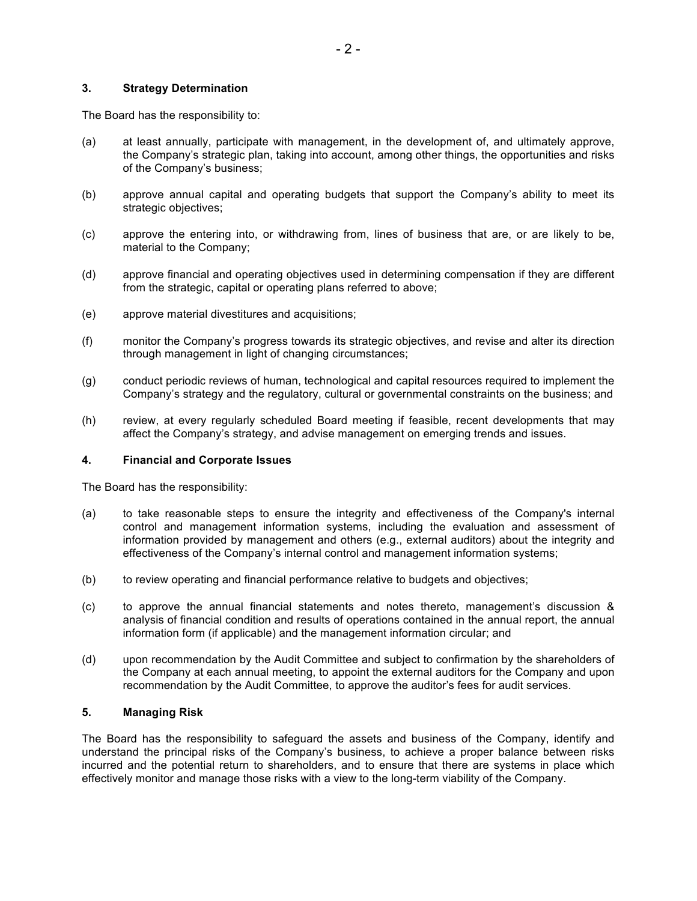## **3. Strategy Determination**

The Board has the responsibility to:

- (a) at least annually, participate with management, in the development of, and ultimately approve, the Company's strategic plan, taking into account, among other things, the opportunities and risks of the Company's business;
- (b) approve annual capital and operating budgets that support the Company's ability to meet its strategic objectives;
- (c) approve the entering into, or withdrawing from, lines of business that are, or are likely to be, material to the Company;
- (d) approve financial and operating objectives used in determining compensation if they are different from the strategic, capital or operating plans referred to above;
- (e) approve material divestitures and acquisitions;
- (f) monitor the Company's progress towards its strategic objectives, and revise and alter its direction through management in light of changing circumstances;
- (g) conduct periodic reviews of human, technological and capital resources required to implement the Company's strategy and the regulatory, cultural or governmental constraints on the business; and
- (h) review, at every regularly scheduled Board meeting if feasible, recent developments that may affect the Company's strategy, and advise management on emerging trends and issues.

#### **4. Financial and Corporate Issues**

The Board has the responsibility:

- (a) to take reasonable steps to ensure the integrity and effectiveness of the Company's internal control and management information systems, including the evaluation and assessment of information provided by management and others (e.g., external auditors) about the integrity and effectiveness of the Company's internal control and management information systems;
- (b) to review operating and financial performance relative to budgets and objectives;
- (c) to approve the annual financial statements and notes thereto, management's discussion & analysis of financial condition and results of operations contained in the annual report, the annual information form (if applicable) and the management information circular; and
- (d) upon recommendation by the Audit Committee and subject to confirmation by the shareholders of the Company at each annual meeting, to appoint the external auditors for the Company and upon recommendation by the Audit Committee, to approve the auditor's fees for audit services.

### **5. Managing Risk**

The Board has the responsibility to safeguard the assets and business of the Company, identify and understand the principal risks of the Company's business, to achieve a proper balance between risks incurred and the potential return to shareholders, and to ensure that there are systems in place which effectively monitor and manage those risks with a view to the long-term viability of the Company.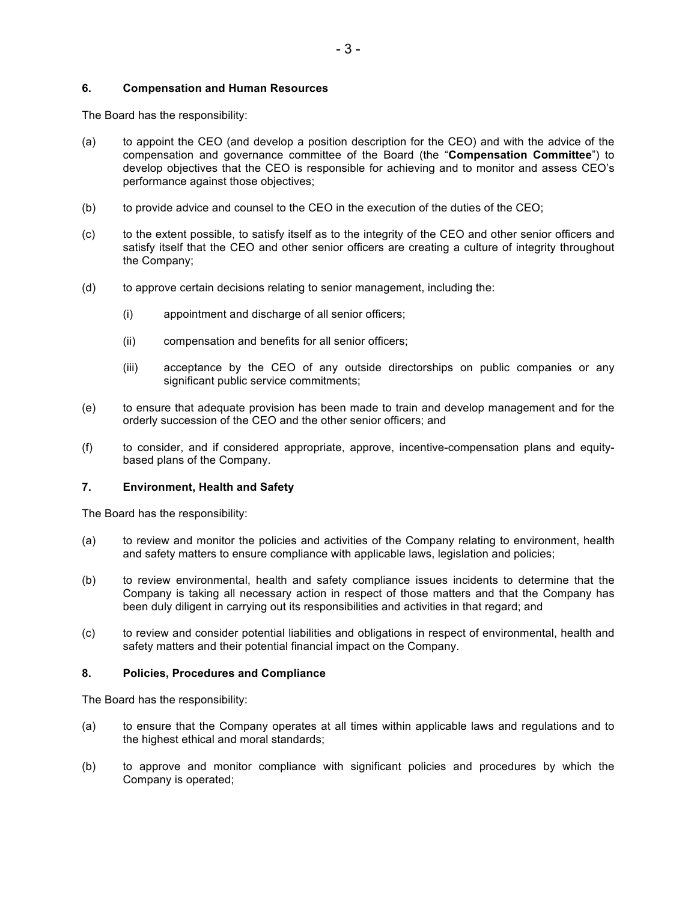## **6. Compensation and Human Resources**

The Board has the responsibility:

- (a) to appoint the CEO (and develop a position description for the CEO) and with the advice of the compensation and governance committee of the Board (the "**Compensation Committee**") to develop objectives that the CEO is responsible for achieving and to monitor and assess CEO's performance against those objectives;
- (b) to provide advice and counsel to the CEO in the execution of the duties of the CEO;
- (c) to the extent possible, to satisfy itself as to the integrity of the CEO and other senior officers and satisfy itself that the CEO and other senior officers are creating a culture of integrity throughout the Company;
- (d) to approve certain decisions relating to senior management, including the:
	- (i) appointment and discharge of all senior officers;
	- (ii) compensation and benefits for all senior officers;
	- (iii) acceptance by the CEO of any outside directorships on public companies or any significant public service commitments;
- (e) to ensure that adequate provision has been made to train and develop management and for the orderly succession of the CEO and the other senior officers; and
- (f) to consider, and if considered appropriate, approve, incentive-compensation plans and equitybased plans of the Company.

#### **7. Environment, Health and Safety**

The Board has the responsibility:

- (a) to review and monitor the policies and activities of the Company relating to environment, health and safety matters to ensure compliance with applicable laws, legislation and policies;
- (b) to review environmental, health and safety compliance issues incidents to determine that the Company is taking all necessary action in respect of those matters and that the Company has been duly diligent in carrying out its responsibilities and activities in that regard; and
- (c) to review and consider potential liabilities and obligations in respect of environmental, health and safety matters and their potential financial impact on the Company.

#### **8. Policies, Procedures and Compliance**

The Board has the responsibility:

- (a) to ensure that the Company operates at all times within applicable laws and regulations and to the highest ethical and moral standards;
- (b) to approve and monitor compliance with significant policies and procedures by which the Company is operated;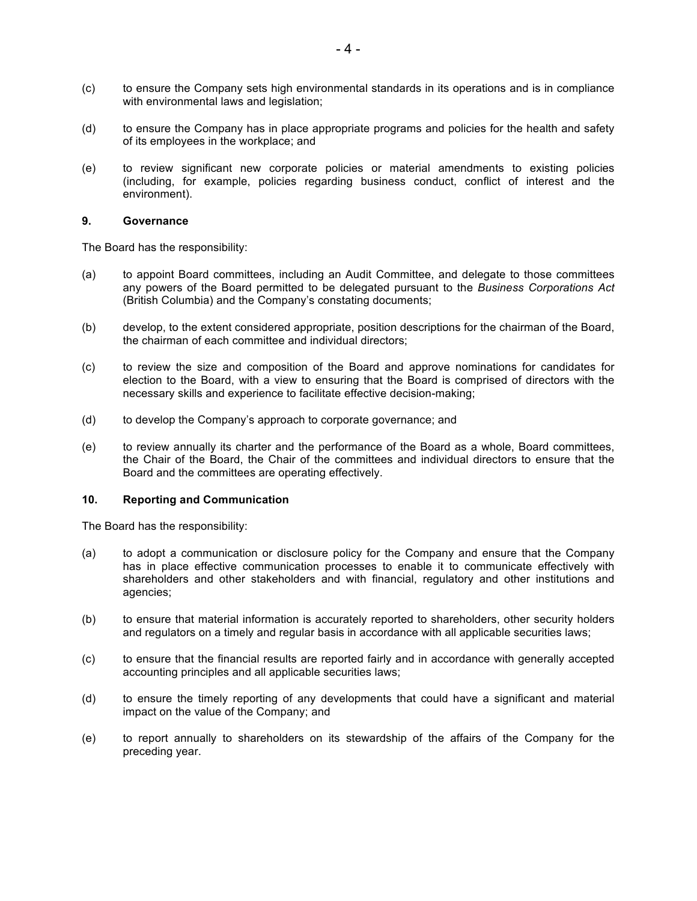- (c) to ensure the Company sets high environmental standards in its operations and is in compliance with environmental laws and legislation;
- (d) to ensure the Company has in place appropriate programs and policies for the health and safety of its employees in the workplace; and
- (e) to review significant new corporate policies or material amendments to existing policies (including, for example, policies regarding business conduct, conflict of interest and the environment).

#### **9. Governance**

The Board has the responsibility:

- (a) to appoint Board committees, including an Audit Committee, and delegate to those committees any powers of the Board permitted to be delegated pursuant to the *Business Corporations Act* (British Columbia) and the Company's constating documents;
- (b) develop, to the extent considered appropriate, position descriptions for the chairman of the Board, the chairman of each committee and individual directors;
- (c) to review the size and composition of the Board and approve nominations for candidates for election to the Board, with a view to ensuring that the Board is comprised of directors with the necessary skills and experience to facilitate effective decision-making;
- (d) to develop the Company's approach to corporate governance; and
- (e) to review annually its charter and the performance of the Board as a whole, Board committees, the Chair of the Board, the Chair of the committees and individual directors to ensure that the Board and the committees are operating effectively.

#### **10. Reporting and Communication**

The Board has the responsibility:

- (a) to adopt a communication or disclosure policy for the Company and ensure that the Company has in place effective communication processes to enable it to communicate effectively with shareholders and other stakeholders and with financial, regulatory and other institutions and agencies;
- (b) to ensure that material information is accurately reported to shareholders, other security holders and regulators on a timely and regular basis in accordance with all applicable securities laws;
- (c) to ensure that the financial results are reported fairly and in accordance with generally accepted accounting principles and all applicable securities laws;
- (d) to ensure the timely reporting of any developments that could have a significant and material impact on the value of the Company; and
- (e) to report annually to shareholders on its stewardship of the affairs of the Company for the preceding year.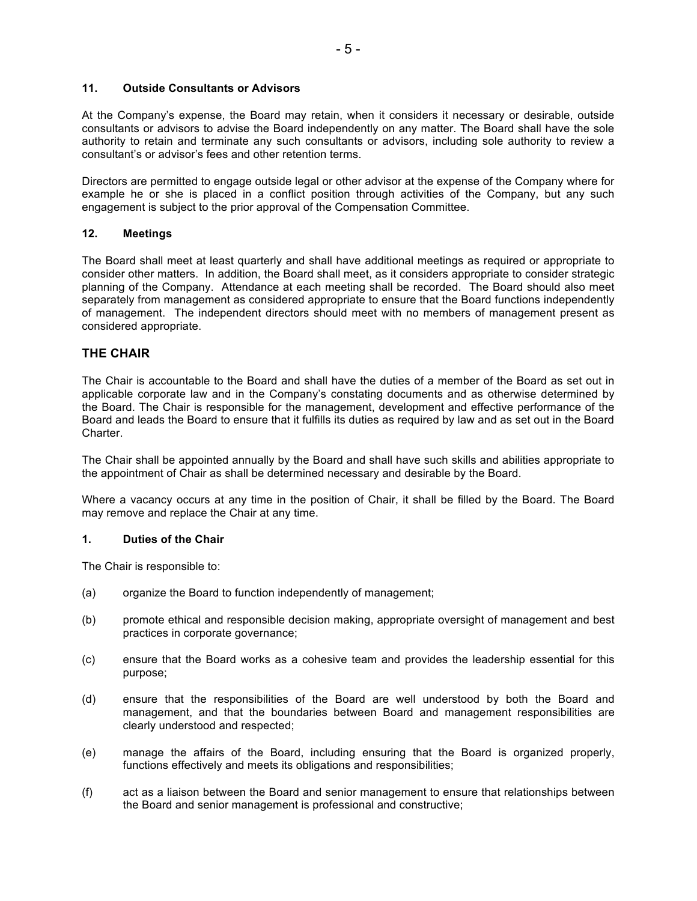# **11. Outside Consultants or Advisors**

At the Company's expense, the Board may retain, when it considers it necessary or desirable, outside consultants or advisors to advise the Board independently on any matter. The Board shall have the sole authority to retain and terminate any such consultants or advisors, including sole authority to review a consultant's or advisor's fees and other retention terms.

Directors are permitted to engage outside legal or other advisor at the expense of the Company where for example he or she is placed in a conflict position through activities of the Company, but any such engagement is subject to the prior approval of the Compensation Committee.

# **12. Meetings**

The Board shall meet at least quarterly and shall have additional meetings as required or appropriate to consider other matters. In addition, the Board shall meet, as it considers appropriate to consider strategic planning of the Company. Attendance at each meeting shall be recorded. The Board should also meet separately from management as considered appropriate to ensure that the Board functions independently of management. The independent directors should meet with no members of management present as considered appropriate.

# **THE CHAIR**

The Chair is accountable to the Board and shall have the duties of a member of the Board as set out in applicable corporate law and in the Company's constating documents and as otherwise determined by the Board. The Chair is responsible for the management, development and effective performance of the Board and leads the Board to ensure that it fulfills its duties as required by law and as set out in the Board Charter.

The Chair shall be appointed annually by the Board and shall have such skills and abilities appropriate to the appointment of Chair as shall be determined necessary and desirable by the Board.

Where a vacancy occurs at any time in the position of Chair, it shall be filled by the Board. The Board may remove and replace the Chair at any time.

## **1. Duties of the Chair**

The Chair is responsible to:

- (a) organize the Board to function independently of management;
- (b) promote ethical and responsible decision making, appropriate oversight of management and best practices in corporate governance;
- (c) ensure that the Board works as a cohesive team and provides the leadership essential for this purpose;
- (d) ensure that the responsibilities of the Board are well understood by both the Board and management, and that the boundaries between Board and management responsibilities are clearly understood and respected;
- (e) manage the affairs of the Board, including ensuring that the Board is organized properly, functions effectively and meets its obligations and responsibilities;
- (f) act as a liaison between the Board and senior management to ensure that relationships between the Board and senior management is professional and constructive;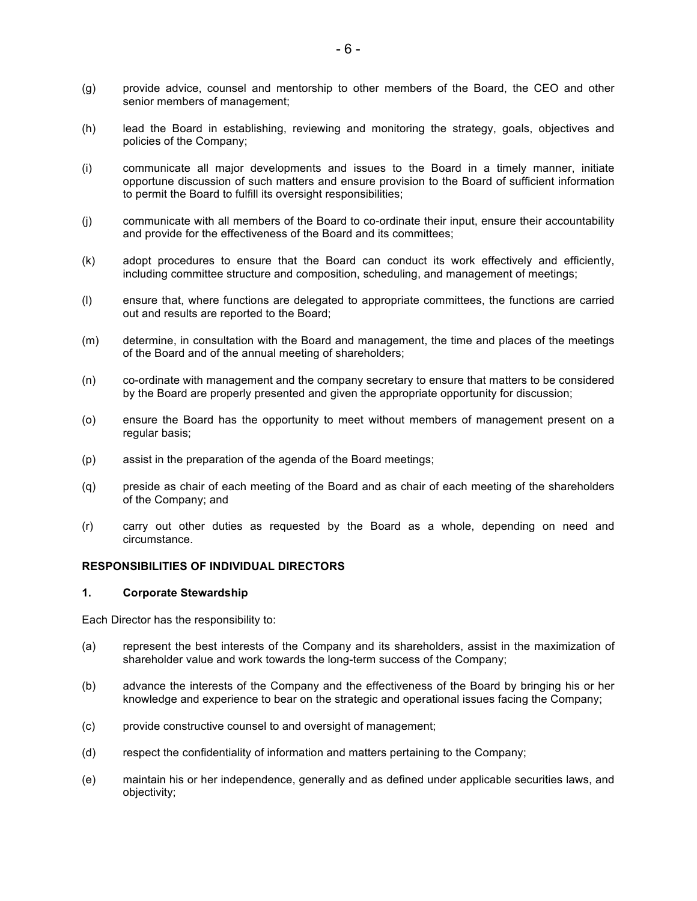- (g) provide advice, counsel and mentorship to other members of the Board, the CEO and other senior members of management;
- (h) lead the Board in establishing, reviewing and monitoring the strategy, goals, objectives and policies of the Company;
- (i) communicate all major developments and issues to the Board in a timely manner, initiate opportune discussion of such matters and ensure provision to the Board of sufficient information to permit the Board to fulfill its oversight responsibilities;
- (j) communicate with all members of the Board to co-ordinate their input, ensure their accountability and provide for the effectiveness of the Board and its committees;
- (k) adopt procedures to ensure that the Board can conduct its work effectively and efficiently, including committee structure and composition, scheduling, and management of meetings;
- (l) ensure that, where functions are delegated to appropriate committees, the functions are carried out and results are reported to the Board;
- (m) determine, in consultation with the Board and management, the time and places of the meetings of the Board and of the annual meeting of shareholders;
- (n) co-ordinate with management and the company secretary to ensure that matters to be considered by the Board are properly presented and given the appropriate opportunity for discussion;
- (o) ensure the Board has the opportunity to meet without members of management present on a regular basis;
- (p) assist in the preparation of the agenda of the Board meetings;
- (q) preside as chair of each meeting of the Board and as chair of each meeting of the shareholders of the Company; and
- (r) carry out other duties as requested by the Board as a whole, depending on need and circumstance.

# **RESPONSIBILITIES OF INDIVIDUAL DIRECTORS**

#### **1. Corporate Stewardship**

Each Director has the responsibility to:

- (a) represent the best interests of the Company and its shareholders, assist in the maximization of shareholder value and work towards the long-term success of the Company;
- (b) advance the interests of the Company and the effectiveness of the Board by bringing his or her knowledge and experience to bear on the strategic and operational issues facing the Company;
- (c) provide constructive counsel to and oversight of management;
- (d) respect the confidentiality of information and matters pertaining to the Company;
- (e) maintain his or her independence, generally and as defined under applicable securities laws, and objectivity;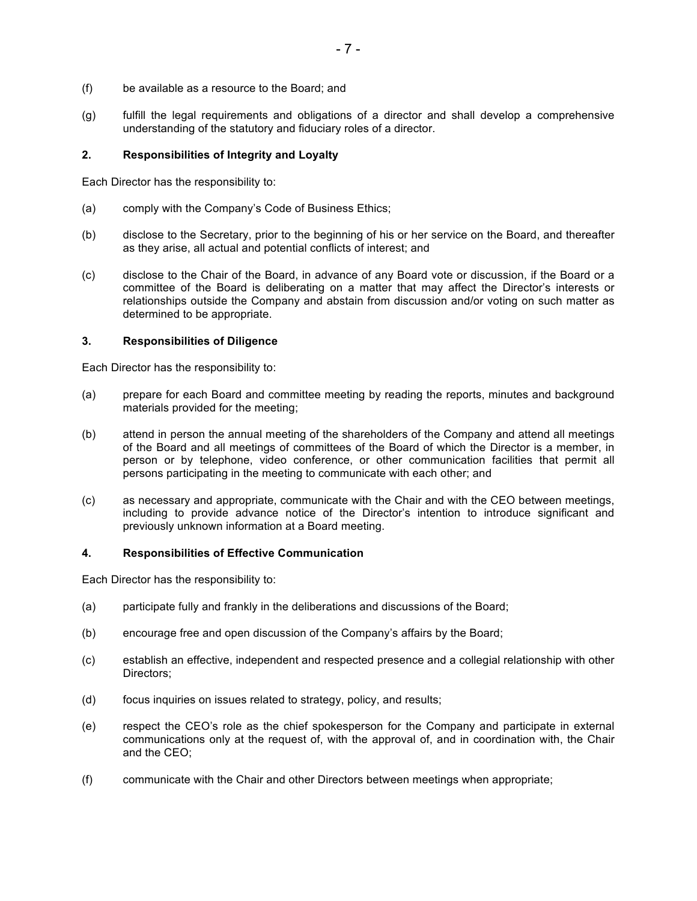- (f) be available as a resource to the Board; and
- (g) fulfill the legal requirements and obligations of a director and shall develop a comprehensive understanding of the statutory and fiduciary roles of a director.

# **2. Responsibilities of Integrity and Loyalty**

Each Director has the responsibility to:

- (a) comply with the Company's Code of Business Ethics;
- (b) disclose to the Secretary, prior to the beginning of his or her service on the Board, and thereafter as they arise, all actual and potential conflicts of interest; and
- (c) disclose to the Chair of the Board, in advance of any Board vote or discussion, if the Board or a committee of the Board is deliberating on a matter that may affect the Director's interests or relationships outside the Company and abstain from discussion and/or voting on such matter as determined to be appropriate.

## **3. Responsibilities of Diligence**

Each Director has the responsibility to:

- (a) prepare for each Board and committee meeting by reading the reports, minutes and background materials provided for the meeting;
- (b) attend in person the annual meeting of the shareholders of the Company and attend all meetings of the Board and all meetings of committees of the Board of which the Director is a member, in person or by telephone, video conference, or other communication facilities that permit all persons participating in the meeting to communicate with each other; and
- (c) as necessary and appropriate, communicate with the Chair and with the CEO between meetings, including to provide advance notice of the Director's intention to introduce significant and previously unknown information at a Board meeting.

## **4. Responsibilities of Effective Communication**

Each Director has the responsibility to:

- (a) participate fully and frankly in the deliberations and discussions of the Board;
- (b) encourage free and open discussion of the Company's affairs by the Board;
- (c) establish an effective, independent and respected presence and a collegial relationship with other Directors;
- (d) focus inquiries on issues related to strategy, policy, and results;
- (e) respect the CEO's role as the chief spokesperson for the Company and participate in external communications only at the request of, with the approval of, and in coordination with, the Chair and the CEO;
- (f) communicate with the Chair and other Directors between meetings when appropriate;